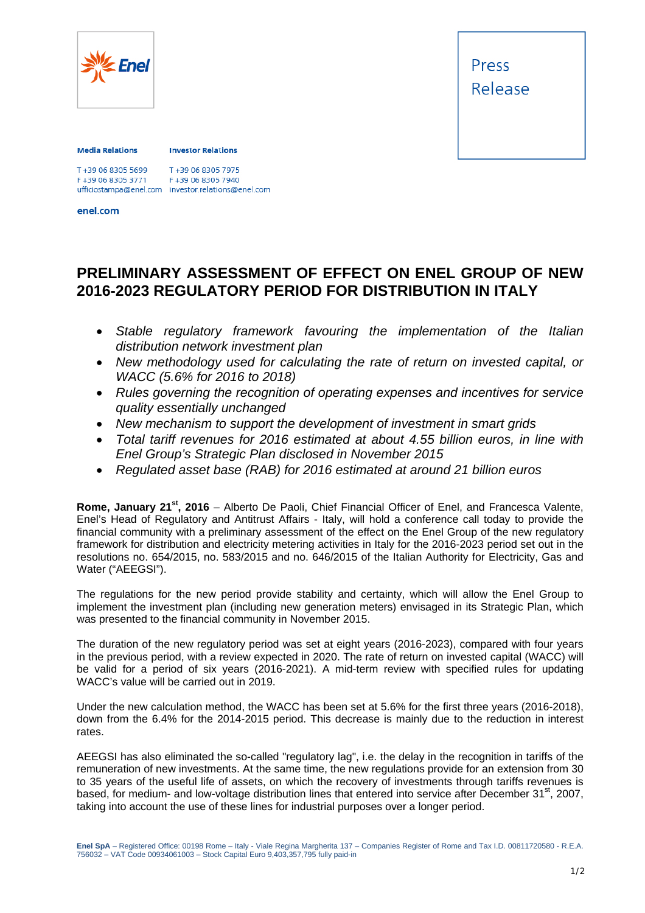

Press Release

## **Media Relations**

## **Investor Relations**

T+39 06 8305 7975 F+39 06 8305 3771 F+39 06 8305 7940 ufficiostampa@enel.com investor.relations@enel.com<br>enel.com

## **PRELIMINARY ASSESSMENT OF EFFECT ON ENEL GROUP OF NEW 2016-2023 REGULATORY PERIOD FOR DISTRIBUTION IN ITALY**

- *Stable regulatory framework favouring the implementation of the Italian distribution network investment plan*
- *New methodology used for calculating the rate of return on invested capital, or WACC (5.6% for 2016 to 2018)*
- *Rules governing the recognition of operating expenses and incentives for service quality essentially unchanged*
- *New mechanism to support the development of investment in smart grids*
- *Total tariff revenues for 2016 estimated at about 4.55 billion euros, in line with Enel Group's Strategic Plan disclosed in November 2015*
- *Regulated asset base (RAB) for 2016 estimated at around 21 billion euros*

**Rome, January 21st, 2016** – Alberto De Paoli, Chief Financial Officer of Enel, and Francesca Valente, Enel's Head of Regulatory and Antitrust Affairs - Italy, will hold a conference call today to provide the financial community with a preliminary assessment of the effect on the Enel Group of the new regulatory framework for distribution and electricity metering activities in Italy for the 2016-2023 period set out in the resolutions no. 654/2015, no. 583/2015 and no. 646/2015 of the Italian Authority for Electricity, Gas and Water ("AEEGSI").

The regulations for the new period provide stability and certainty, which will allow the Enel Group to implement the investment plan (including new generation meters) envisaged in its Strategic Plan, which was presented to the financial community in November 2015.

The duration of the new regulatory period was set at eight years (2016-2023), compared with four years in the previous period, with a review expected in 2020. The rate of return on invested capital (WACC) will be valid for a period of six years (2016-2021). A mid-term review with specified rules for updating WACC's value will be carried out in 2019.

Under the new calculation method, the WACC has been set at 5.6% for the first three years (2016-2018), down from the 6.4% for the 2014-2015 period. This decrease is mainly due to the reduction in interest rates.

AEEGSI has also eliminated the so-called "regulatory lag", i.e. the delay in the recognition in tariffs of the remuneration of new investments. At the same time, the new regulations provide for an extension from 30 to 35 years of the useful life of assets, on which the recovery of investments through tariffs revenues is based, for medium- and low-voltage distribution lines that entered into service after December 31<sup>st</sup>, 2007, taking into account the use of these lines for industrial purposes over a longer period.